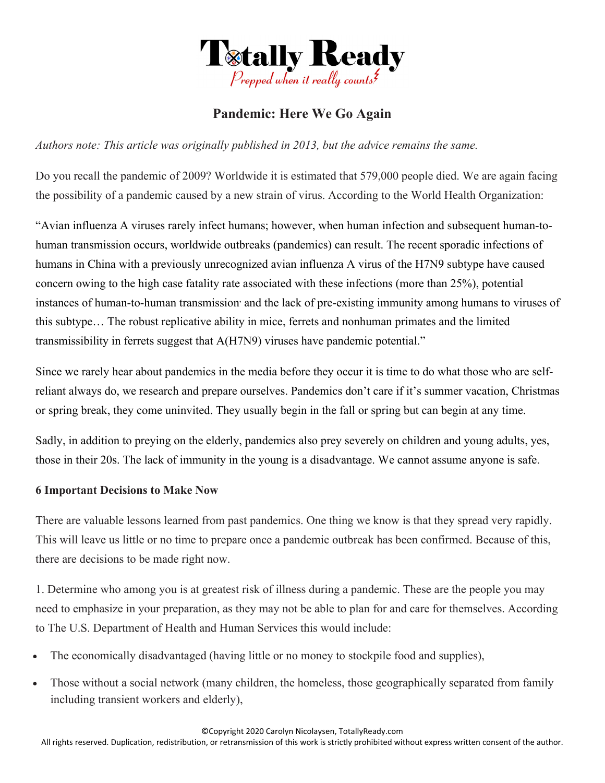

# **Pandemic: Here We Go Again**

*Authors note: This article was originally published in 2013, but the advice remains the same.* 

Do you recall the pandemic of 2009? Worldwide it is estimated that 579,000 people died. We are again facing the possibility of a pandemic caused by a new strain of virus. According to the World Health Organization:

"Avian influenza A viruses rarely infect humans; however, when human infection and subsequent human-tohuman transmission occurs, worldwide outbreaks (pandemics) can result. The recent sporadic infections of humans in China with a previously unrecognized avian influenza A virus of the H7N9 subtype have caused concern owing to the high case fatality rate associated with these infections (more than 25%), potential instances of human-to-human transmission and the lack of pre-existing immunity among humans to viruses of this subtype… The robust replicative ability in mice, ferrets and nonhuman primates and the limited transmissibility in ferrets suggest that A(H7N9) viruses have pandemic potential."

Since we rarely hear about pandemics in the media before they occur it is time to do what those who are selfreliant always do, we research and prepare ourselves. Pandemics don't care if it's summer vacation, Christmas or spring break, they come uninvited. They usually begin in the fall or spring but can begin at any time.

Sadly, in addition to preying on the elderly, pandemics also prey severely on children and young adults, yes, those in their 20s. The lack of immunity in the young is a disadvantage. We cannot assume anyone is safe.

## **6 Important Decisions to Make Now**

There are valuable lessons learned from past pandemics. One thing we know is that they spread very rapidly. This will leave us little or no time to prepare once a pandemic outbreak has been confirmed. Because of this, there are decisions to be made right now.

1. Determine who among you is at greatest risk of illness during a pandemic. These are the people you may need to emphasize in your preparation, as they may not be able to plan for and care for themselves. According to The U.S. Department of Health and Human Services this would include:

- The economically disadvantaged (having little or no money to stockpile food and supplies),
- Those without a social network (many children, the homeless, those geographically separated from family including transient workers and elderly),

©Copyright 2020 Carolyn Nicolaysen, TotallyReady.com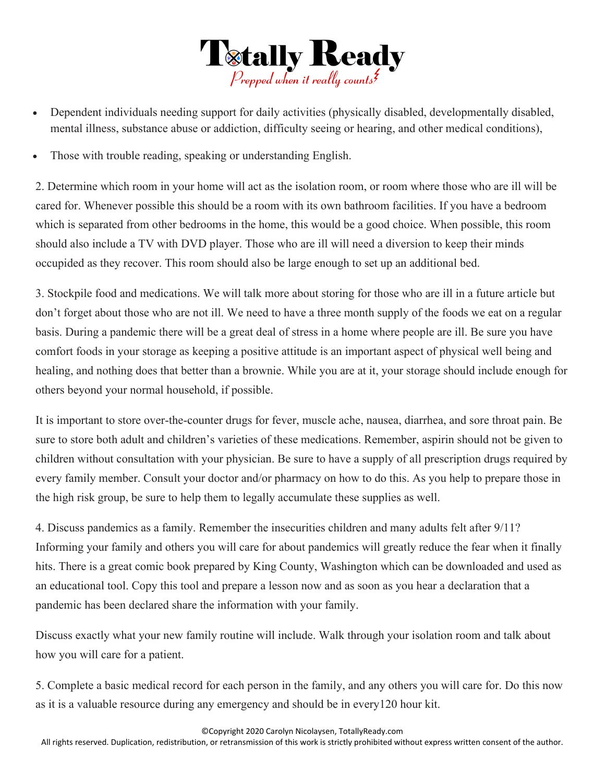

- Dependent individuals needing support for daily activities (physically disabled, developmentally disabled, mental illness, substance abuse or addiction, difficulty seeing or hearing, and other medical conditions),
- Those with trouble reading, speaking or understanding English.

2. Determine which room in your home will act as the isolation room, or room where those who are ill will be cared for. Whenever possible this should be a room with its own bathroom facilities. If you have a bedroom which is separated from other bedrooms in the home, this would be a good choice. When possible, this room should also include a TV with DVD player. Those who are ill will need a diversion to keep their minds occupided as they recover. This room should also be large enough to set up an additional bed.

3. Stockpile food and medications. We will talk more about storing for those who are ill in a future article but don't forget about those who are not ill. We need to have a three month supply of the foods we eat on a regular basis. During a pandemic there will be a great deal of stress in a home where people are ill. Be sure you have comfort foods in your storage as keeping a positive attitude is an important aspect of physical well being and healing, and nothing does that better than a brownie. While you are at it, your storage should include enough for others beyond your normal household, if possible.

It is important to store over-the-counter drugs for fever, muscle ache, nausea, diarrhea, and sore throat pain. Be sure to store both adult and children's varieties of these medications. Remember, aspirin should not be given to children without consultation with your physician. Be sure to have a supply of all prescription drugs required by every family member. Consult your doctor and/or pharmacy on how to do this. As you help to prepare those in the high risk group, be sure to help them to legally accumulate these supplies as well.

4. Discuss pandemics as a family. Remember the insecurities children and many adults felt after 9/11? Informing your family and others you will care for about pandemics will greatly reduce the fear when it finally hits. There is a great comic book prepared by King County, Washington which can be downloaded and used as an educational tool. Copy this tool and prepare a lesson now and as soon as you hear a declaration that a pandemic has been declared share the information with your family.

Discuss exactly what your new family routine will include. Walk through your isolation room and talk about how you will care for a patient.

5. Complete a basic medical record for each person in the family, and any others you will care for. Do this now as it is a valuable resource during any emergency and should be in every120 hour kit.

©Copyright 2020 Carolyn Nicolaysen, TotallyReady.com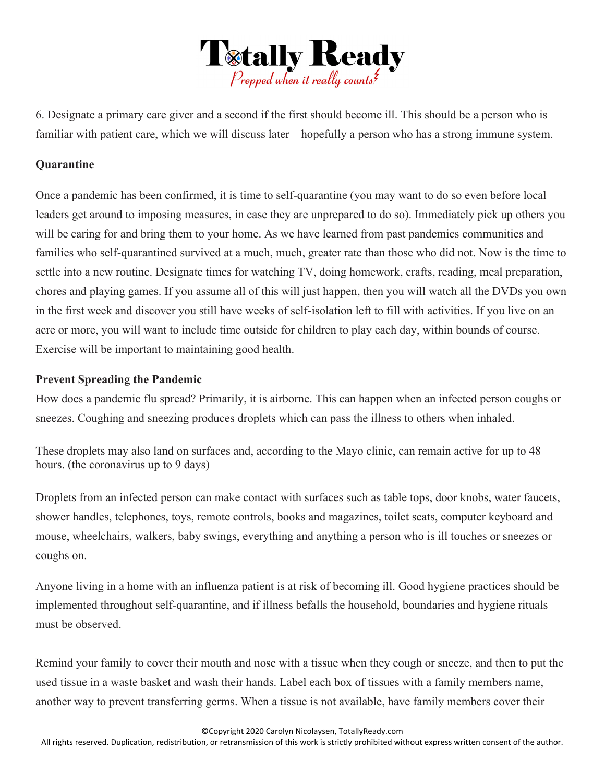

6. Designate a primary care giver and a second if the first should become ill. This should be a person who is familiar with patient care, which we will discuss later – hopefully a person who has a strong immune system.

## **Quarantine**

Once a pandemic has been confirmed, it is time to self-quarantine (you may want to do so even before local leaders get around to imposing measures, in case they are unprepared to do so). Immediately pick up others you will be caring for and bring them to your home. As we have learned from past pandemics communities and families who self-quarantined survived at a much, much, greater rate than those who did not. Now is the time to settle into a new routine. Designate times for watching TV, doing homework, crafts, reading, meal preparation, chores and playing games. If you assume all of this will just happen, then you will watch all the DVDs you own in the first week and discover you still have weeks of self-isolation left to fill with activities. If you live on an acre or more, you will want to include time outside for children to play each day, within bounds of course. Exercise will be important to maintaining good health.

## **Prevent Spreading the Pandemic**

How does a pandemic flu spread? Primarily, it is airborne. This can happen when an infected person coughs or sneezes. Coughing and sneezing produces droplets which can pass the illness to others when inhaled.

These droplets may also land on surfaces and, according to the Mayo clinic, can remain active for up to 48 hours. (the coronavirus up to 9 days)

Droplets from an infected person can make contact with surfaces such as table tops, door knobs, water faucets, shower handles, telephones, toys, remote controls, books and magazines, toilet seats, computer keyboard and mouse, wheelchairs, walkers, baby swings, everything and anything a person who is ill touches or sneezes or coughs on.

Anyone living in a home with an influenza patient is at risk of becoming ill. Good hygiene practices should be implemented throughout self-quarantine, and if illness befalls the household, boundaries and hygiene rituals must be observed.

Remind your family to cover their mouth and nose with a tissue when they cough or sneeze, and then to put the used tissue in a waste basket and wash their hands. Label each box of tissues with a family members name, another way to prevent transferring germs. When a tissue is not available, have family members cover their

©Copyright 2020 Carolyn Nicolaysen, TotallyReady.com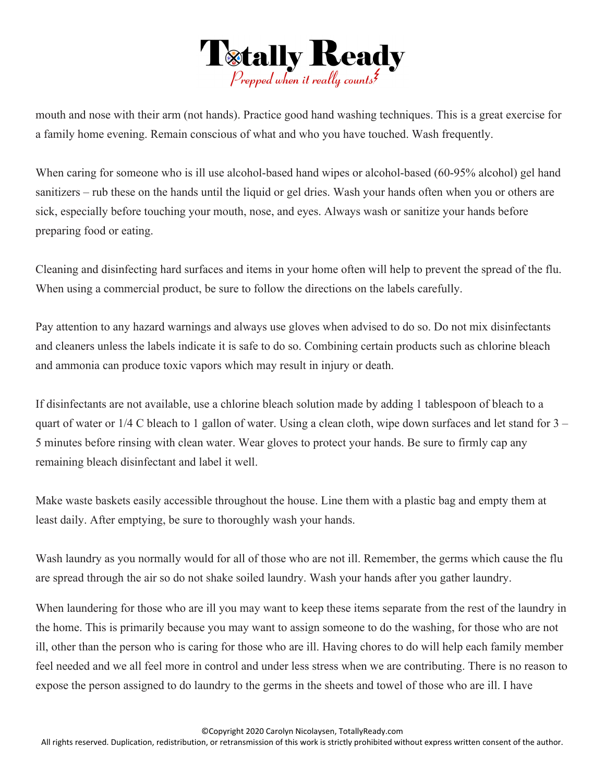

mouth and nose with their arm (not hands). Practice good hand washing techniques. This is a great exercise for a family home evening. Remain conscious of what and who you have touched. Wash frequently.

When caring for someone who is ill use alcohol-based hand wipes or alcohol-based (60-95% alcohol) gel hand sanitizers – rub these on the hands until the liquid or gel dries. Wash your hands often when you or others are sick, especially before touching your mouth, nose, and eyes. Always wash or sanitize your hands before preparing food or eating.

Cleaning and disinfecting hard surfaces and items in your home often will help to prevent the spread of the flu. When using a commercial product, be sure to follow the directions on the labels carefully.

Pay attention to any hazard warnings and always use gloves when advised to do so. Do not mix disinfectants and cleaners unless the labels indicate it is safe to do so. Combining certain products such as chlorine bleach and ammonia can produce toxic vapors which may result in injury or death.

If disinfectants are not available, use a chlorine bleach solution made by adding 1 tablespoon of bleach to a quart of water or 1/4 C bleach to 1 gallon of water. Using a clean cloth, wipe down surfaces and let stand for 3 – 5 minutes before rinsing with clean water. Wear gloves to protect your hands. Be sure to firmly cap any remaining bleach disinfectant and label it well.

Make waste baskets easily accessible throughout the house. Line them with a plastic bag and empty them at least daily. After emptying, be sure to thoroughly wash your hands.

Wash laundry as you normally would for all of those who are not ill. Remember, the germs which cause the flu are spread through the air so do not shake soiled laundry. Wash your hands after you gather laundry.

When laundering for those who are ill you may want to keep these items separate from the rest of the laundry in the home. This is primarily because you may want to assign someone to do the washing, for those who are not ill, other than the person who is caring for those who are ill. Having chores to do will help each family member feel needed and we all feel more in control and under less stress when we are contributing. There is no reason to expose the person assigned to do laundry to the germs in the sheets and towel of those who are ill. I have

©Copyright 2020 Carolyn Nicolaysen, TotallyReady.com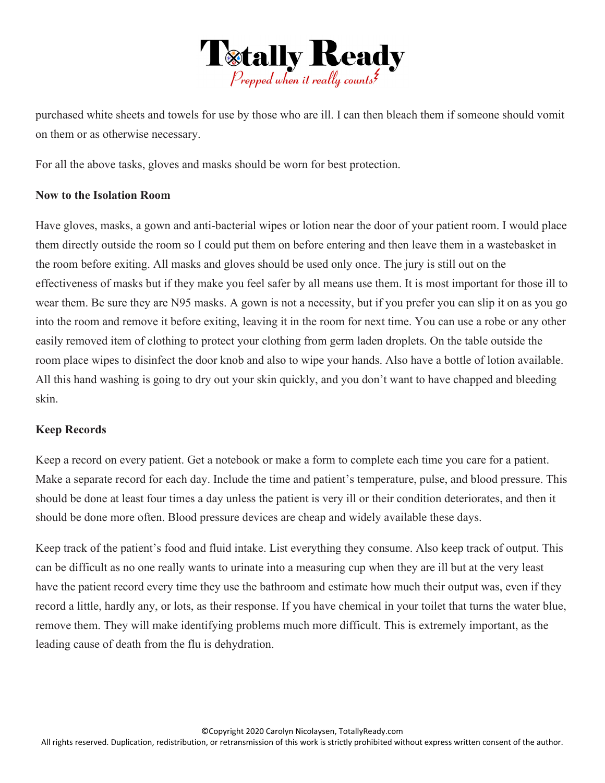

purchased white sheets and towels for use by those who are ill. I can then bleach them if someone should vomit on them or as otherwise necessary.

For all the above tasks, gloves and masks should be worn for best protection.

## **Now to the Isolation Room**

Have gloves, masks, a gown and anti-bacterial wipes or lotion near the door of your patient room. I would place them directly outside the room so I could put them on before entering and then leave them in a wastebasket in the room before exiting. All masks and gloves should be used only once. The jury is still out on the effectiveness of masks but if they make you feel safer by all means use them. It is most important for those ill to wear them. Be sure they are N95 masks. A gown is not a necessity, but if you prefer you can slip it on as you go into the room and remove it before exiting, leaving it in the room for next time. You can use a robe or any other easily removed item of clothing to protect your clothing from germ laden droplets. On the table outside the room place wipes to disinfect the door knob and also to wipe your hands. Also have a bottle of lotion available. All this hand washing is going to dry out your skin quickly, and you don't want to have chapped and bleeding skin.

## **Keep Records**

Keep a record on every patient. Get a notebook or make a form to complete each time you care for a patient. Make a separate record for each day. Include the time and patient's temperature, pulse, and blood pressure. This should be done at least four times a day unless the patient is very ill or their condition deteriorates, and then it should be done more often. Blood pressure devices are cheap and widely available these days.

Keep track of the patient's food and fluid intake. List everything they consume. Also keep track of output. This can be difficult as no one really wants to urinate into a measuring cup when they are ill but at the very least have the patient record every time they use the bathroom and estimate how much their output was, even if they record a little, hardly any, or lots, as their response. If you have chemical in your toilet that turns the water blue, remove them. They will make identifying problems much more difficult. This is extremely important, as the leading cause of death from the flu is dehydration.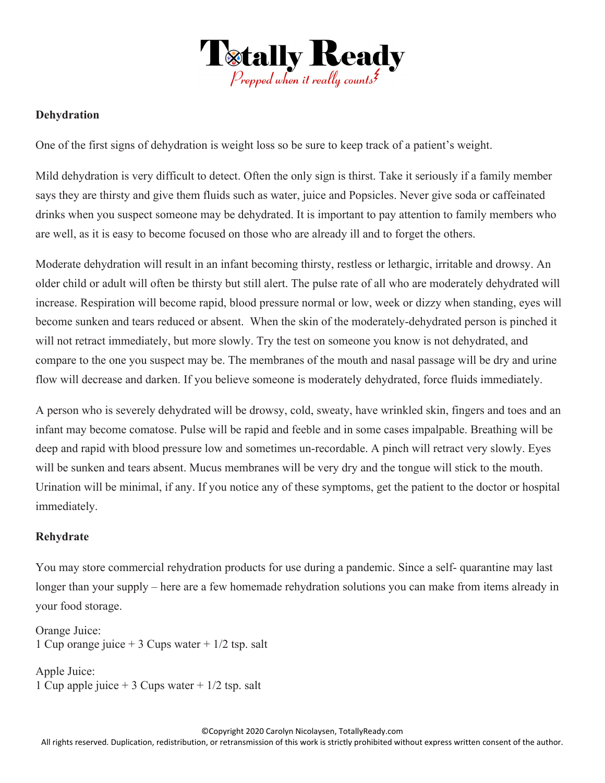

## **Dehydration**

One of the first signs of dehydration is weight loss so be sure to keep track of a patient's weight.

Mild dehydration is very difficult to detect. Often the only sign is thirst. Take it seriously if a family member says they are thirsty and give them fluids such as water, juice and Popsicles. Never give soda or caffeinated drinks when you suspect someone may be dehydrated. It is important to pay attention to family members who are well, as it is easy to become focused on those who are already ill and to forget the others.

Moderate dehydration will result in an infant becoming thirsty, restless or lethargic, irritable and drowsy. An older child or adult will often be thirsty but still alert. The pulse rate of all who are moderately dehydrated will increase. Respiration will become rapid, blood pressure normal or low, week or dizzy when standing, eyes will become sunken and tears reduced or absent. When the skin of the moderately-dehydrated person is pinched it will not retract immediately, but more slowly. Try the test on someone you know is not dehydrated, and compare to the one you suspect may be. The membranes of the mouth and nasal passage will be dry and urine flow will decrease and darken. If you believe someone is moderately dehydrated, force fluids immediately.

A person who is severely dehydrated will be drowsy, cold, sweaty, have wrinkled skin, fingers and toes and an infant may become comatose. Pulse will be rapid and feeble and in some cases impalpable. Breathing will be deep and rapid with blood pressure low and sometimes un-recordable. A pinch will retract very slowly. Eyes will be sunken and tears absent. Mucus membranes will be very dry and the tongue will stick to the mouth. Urination will be minimal, if any. If you notice any of these symptoms, get the patient to the doctor or hospital immediately.

## **Rehydrate**

You may store commercial rehydration products for use during a pandemic. Since a self- quarantine may last longer than your supply – here are a few homemade rehydration solutions you can make from items already in your food storage.

Orange Juice: 1 Cup orange juice  $+$  3 Cups water  $+$  1/2 tsp. salt

Apple Juice: 1 Cup apple juice  $+$  3 Cups water  $+$  1/2 tsp. salt